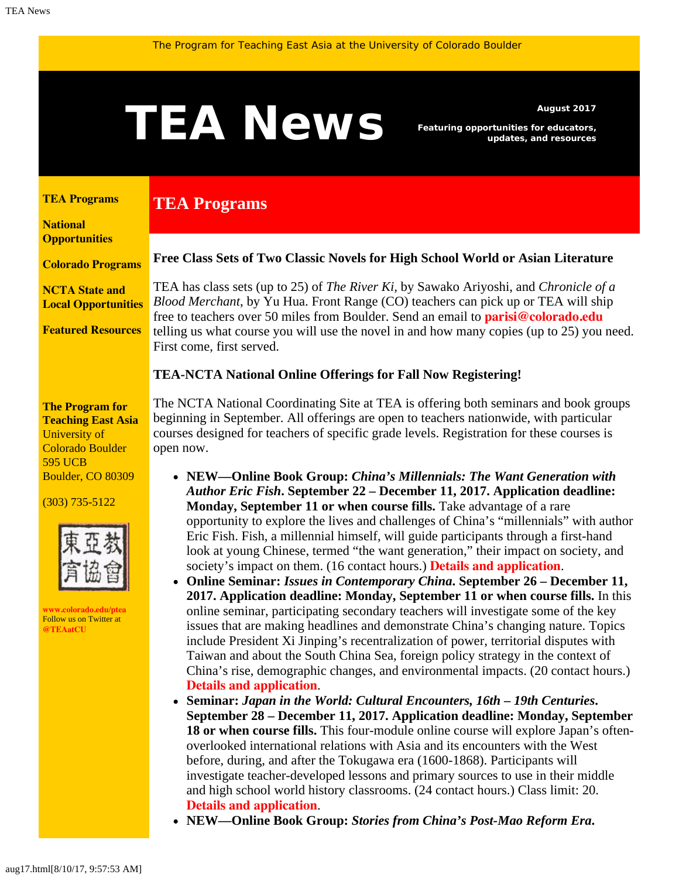# <span id="page-0-1"></span>August 2017<br>*Featuring opportunities for educators,*<br>*august 2017*<br>*August 2017*

**TEA Programs**

*Featuring opportunities for educators, updates, and resources*

#### <span id="page-0-0"></span>**[TEA Programs](#page-0-0)**

**[National](#page-0-1)  [Opportunities](#page-0-1)**

**[Colorado Programs](#page-0-1)**

**[NCTA State and](#page-2-0) [Local Opportunities](#page-2-0)**

**[Featured Resources](#page-2-1)**

#### **The Program for Teaching East Asia** University of Colorado Boulder 595 UCB Boulder, CO 80309

(303) 735-5122



**[www.colorado.edu/ptea](http://www.colorado.edu/cas/tea)** Follow us on Twitter at **[@TEAatCU](https://twitter.com/TEAatCU)**

#### **Free Class Sets of Two Classic Novels for High School World or Asian Literature**

TEA has class sets (up to 25) of *The River Ki,* by Sawako Ariyoshi, and *Chronicle of a Blood Merchant*, by Yu Hua. Front Range (CO) teachers can pick up or TEA will ship free to teachers over 50 miles from Boulder. Send an email to **[parisi@colorado.edu](mailto:parisi@colorado.edu)** telling us what course you will use the novel in and how many copies (up to 25) you need. First come, first served.

### **TEA-NCTA National Online Offerings for Fall Now Registering!**

The NCTA National Coordinating Site at TEA is offering both seminars and book groups beginning in September. All offerings are open to teachers nationwide, with particular courses designed for teachers of specific grade levels. Registration for these courses is open now.

- **NEW—Online Book Group:** *China's Millennials: The Want Generation with Author Eric Fish***. September 22 – December 11, 2017. Application deadline: Monday, September 11 or when course fills.** Take advantage of a rare opportunity to explore the lives and challenges of China's "millennials" with author Eric Fish. Fish, a millennial himself, will guide participants through a first-hand look at young Chinese, termed "the want generation," their impact on society, and society's impact on them. (16 contact hours.) **[Details and application](http://www.colorado.edu/ptea/sites/default/files/attached-files/fishchinamillennials_flyer_fall2017.pdf)**.
- **Online Seminar:** *Issues in Contemporary China***. September 26 December 11, 2017. Application deadline: Monday, September 11 or when course fills.** In this online seminar, participating secondary teachers will investigate some of the key issues that are making headlines and demonstrate China's changing nature. Topics include President Xi Jinping's recentralization of power, territorial disputes with Taiwan and about the South China Sea, foreign policy strategy in the context of China's rise, demographic changes, and environmental impacts. (20 contact hours.) **[Details and application](http://www.colorado.edu/ptea/sites/default/files/attached-files/contempchinaissues_flyer_fall2017.pdf)**.
- Seminar: Japan in the World: Cultural Encounters, 16th 19th Centuries. **September 28 – December 11, 2017. Application deadline: Monday, September 18 or when course fills.** This four-module online course will explore Japan's oftenoverlooked international relations with Asia and its encounters with the West before, during, and after the Tokugawa era (1600-1868). Participants will investigate teacher-developed lessons and primary sources to use in their middle and high school world history classrooms. (24 contact hours.) Class limit: 20. **[Details and application](http://www.colorado.edu/ptea/sites/default/files/attached-files/jpinworld2017flyer.pdf)**.
- **NEW—Online Book Group:** *Stories from China's Post-Mao Reform Era***.**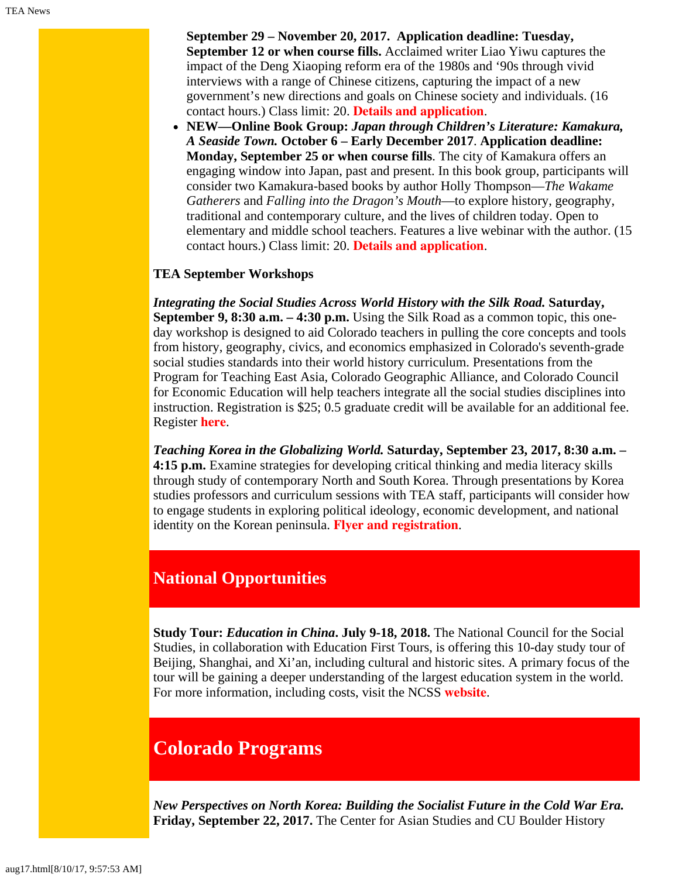**September 29 – November 20, 2017. Application deadline: Tuesday, September 12 or when course fills.** Acclaimed writer Liao Yiwu captures the impact of the Deng Xiaoping reform era of the 1980s and '90s through vivid interviews with a range of Chinese citizens, capturing the impact of a new government's new directions and goals on Chinese society and individuals. (16 contact hours.) Class limit: 20. **[Details and application](http://www.colorado.edu/ptea/sites/default/files/attached-files/stories-from-post-mao_0.pdf)**.

**NEW—Online Book Group:** *Japan through Children's Literature: Kamakura, A Seaside Town.* **October 6 – Early December 2017**. **Application deadline: Monday, September 25 or when course fills**. The city of Kamakura offers an engaging window into Japan, past and present. In this book group, participants will consider two Kamakura-based books by author Holly Thompson—*The Wakame Gatherers* and *Falling into the Dragon's Mouth*—to explore history, geography, traditional and contemporary culture, and the lives of children today. Open to elementary and middle school teachers. Features a live webinar with the author. (15 contact hours.) Class limit: 20. **[Details and application](http://www.colorado.edu/ptea/sites/default/files/attached-files/fall2017jpkidlitbgflyer.pdf)**.

### **TEA September Workshops**

*Integrating the Social Studies Across World History with the Silk Road.* **Saturday, September 9, 8:30 a.m. – 4:30 p.m.** Using the Silk Road as a common topic, this oneday workshop is designed to aid Colorado teachers in pulling the core concepts and tools from history, geography, civics, and economics emphasized in Colorado's seventh-grade social studies standards into their world history curriculum. Presentations from the Program for Teaching East Asia, Colorado Geographic Alliance, and Colorado Council for Economic Education will help teachers integrate all the social studies disciplines into instruction. Registration is \$25; 0.5 graduate credit will be available for an additional fee. Register **[here](http://www.ccee.net/integrating-social-studies)**.

*Teaching Korea in the Globalizing World.* **Saturday, September 23, 2017, 8:30 a.m. – 4:15 p.m.** Examine strategies for developing critical thinking and media literacy skills through study of contemporary North and South Korea. Through presentations by Korea studies professors and curriculum sessions with TEA staff, participants will consider how to engage students in exploring political ideology, economic development, and national identity on the Korean peninsula. **[Flyer and registration](http://www.colorado.edu/ptea/sites/default/files/attached-files/korea92317flyer2.pdf)**.

# **National Opportunities**

**Study Tour:** *Education in China***. July 9-18, 2018.** The National Council for the Social Studies, in collaboration with Education First Tours, is offering this 10-day study tour of Beijing, Shanghai, and Xi'an, including cultural and historic sites. A primary focus of the tour will be gaining a deeper understanding of the largest education system in the world. For more information, including costs, visit the NCSS **[website](http://www.socialstudies.org/professional-learning/tours)**.

# **Colorado Programs**

*New Perspectives on North Korea: Building the Socialist Future in the Cold War Era.* **Friday, September 22, 2017.** The Center for Asian Studies and CU Boulder History